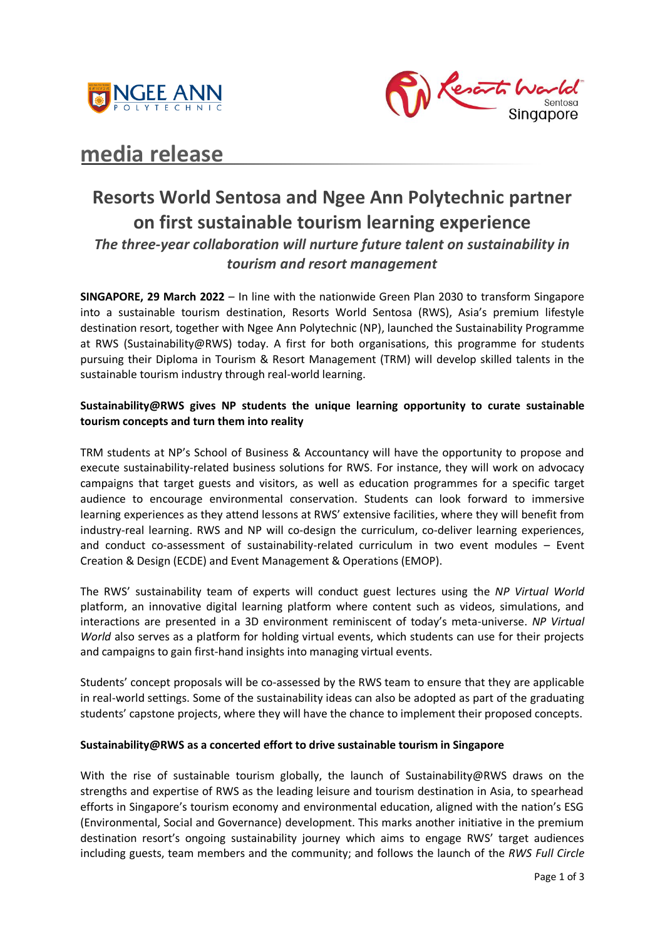



# **media release**

## **Resorts World Sentosa and Ngee Ann Polytechnic partner on first sustainable tourism learning experience**  *The three-year collaboration will nurture future talent on sustainability in tourism and resort management*

**SINGAPORE, 29 March 2022** – In line with the nationwide Green Plan 2030 to transform Singapore into a sustainable tourism destination, Resorts World Sentosa (RWS), Asia's premium lifestyle destination resort, together with Ngee Ann Polytechnic (NP), launched the Sustainability Programme at RWS (Sustainability@RWS) today. A first for both organisations, this programme for students pursuing their Diploma in Tourism & Resort Management (TRM) will develop skilled talents in the sustainable tourism industry through real-world learning.

## **Sustainability@RWS gives NP students the unique learning opportunity to curate sustainable tourism concepts and turn them into reality**

TRM students at NP's School of Business & Accountancy will have the opportunity to propose and execute sustainability-related business solutions for RWS. For instance, they will work on advocacy campaigns that target guests and visitors, as well as education programmes for a specific target audience to encourage environmental conservation. Students can look forward to immersive learning experiences as they attend lessons at RWS' extensive facilities, where they will benefit from industry-real learning. RWS and NP will co-design the curriculum, co-deliver learning experiences, and conduct co-assessment of sustainability-related curriculum in two event modules – Event Creation & Design (ECDE) and Event Management & Operations (EMOP).

The RWS' sustainability team of experts will conduct guest lectures using the *NP Virtual World* platform, an innovative digital learning platform where content such as videos, simulations, and interactions are presented in a 3D environment reminiscent of today's meta-universe. *NP Virtual World* also serves as a platform for holding virtual events, which students can use for their projects and campaigns to gain first-hand insights into managing virtual events.

Students' concept proposals will be co-assessed by the RWS team to ensure that they are applicable in real-world settings. Some of the sustainability ideas can also be adopted as part of the graduating students' capstone projects, where they will have the chance to implement their proposed concepts.

## **Sustainability@RWS as a concerted effort to drive sustainable tourism in Singapore**

With the rise of sustainable tourism globally, the launch of Sustainability@RWS draws on the strengths and expertise of RWS as the leading leisure and tourism destination in Asia, to spearhead efforts in Singapore's tourism economy and environmental education, aligned with the nation's ESG (Environmental, Social and Governance) development. This marks another initiative in the premium destination resort's ongoing sustainability journey which aims to engage RWS' target audiences including guests, team members and the community; and follows the launch of the *RWS Full Circle*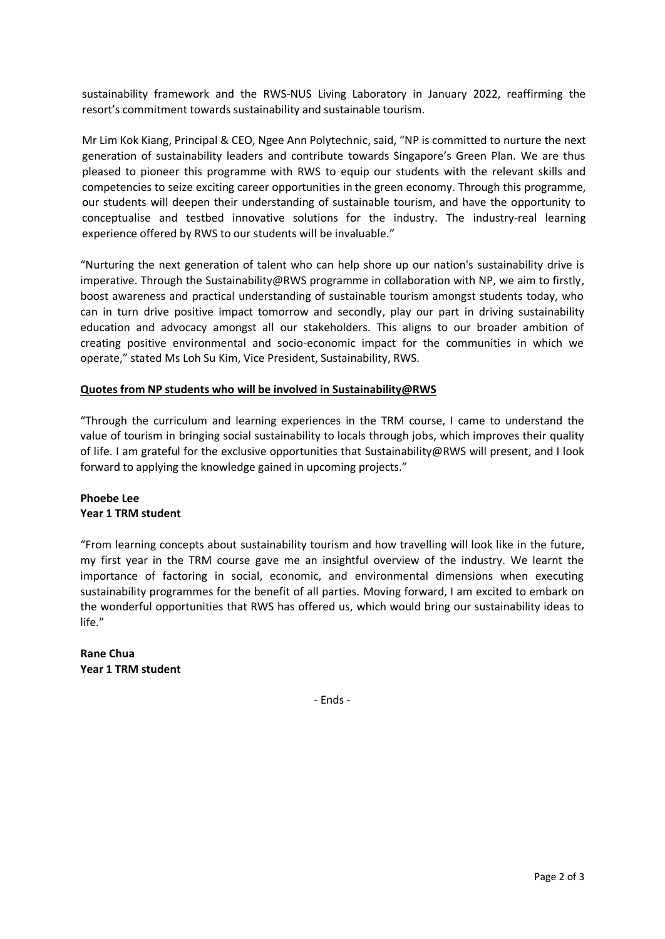sustainability framework and the RWS-NUS Living Laboratory in January 2022, reaffirming the resort's commitment towards sustainability and sustainable tourism.

Mr Lim Kok Kiang, Principal & CEO, Ngee Ann Polytechnic, said, "NP is committed to nurture the next generation of sustainability leaders and contribute towards Singapore's Green Plan. We are thus pleased to pioneer this programme with RWS to equip our students with the relevant skills and competencies to seize exciting career opportunities in the green economy. Through this programme, our students will deepen their understanding of sustainable tourism, and have the opportunity to conceptualise and testbed innovative solutions for the industry. The industry-real learning experience offered by RWS to our students will be invaluable."

"Nurturing the next generation of talent who can help shore up our nation's sustainability drive is imperative. Through the Sustainability@RWS programme in collaboration with NP, we aim to firstly, boost awareness and practical understanding of sustainable tourism amongst students today, who can in turn drive positive impact tomorrow and secondly, play our part in driving sustainability education and advocacy amongst all our stakeholders. This aligns to our broader ambition of creating positive environmental and socio-economic impact for the communities in which we operate," stated Ms Loh Su Kim, Vice President, Sustainability, RWS.

## **Quotes from NP students who will be involved in Sustainability@RWS**

"Through the curriculum and learning experiences in the TRM course, I came to understand the value of tourism in bringing social sustainability to locals through jobs, which improves their quality of life. I am grateful for the exclusive opportunities that Sustainability@RWS will present, and I look forward to applying the knowledge gained in upcoming projects."

## **Phoebe Lee Year 1 TRM student**

"From learning concepts about sustainability tourism and how travelling will look like in the future, my first year in the TRM course gave me an insightful overview of the industry. We learnt the importance of factoring in social, economic, and environmental dimensions when executing sustainability programmes for the benefit of all parties. Moving forward, I am excited to embark on the wonderful opportunities that RWS has offered us, which would bring our sustainability ideas to life."

**Rane Chua Year 1 TRM student** 

- Ends -